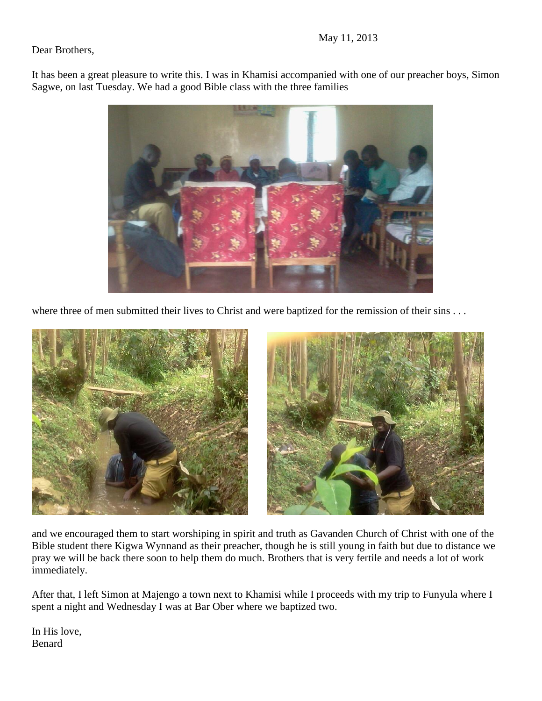Dear Brothers,

It has been a great pleasure to write this. I was in Khamisi accompanied with one of our preacher boys, Simon Sagwe, on last Tuesday. We had a good Bible class with the three families



where three of men submitted their lives to Christ and were baptized for the remission of their sins . . .



and we encouraged them to start worshiping in spirit and truth as Gavanden Church of Christ with one of the Bible student there Kigwa Wynnand as their preacher, though he is still young in faith but due to distance we pray we will be back there soon to help them do much. Brothers that is very fertile and needs a lot of work immediately.

After that, I left Simon at Majengo a town next to Khamisi while I proceeds with my trip to Funyula where I spent a night and Wednesday I was at Bar Ober where we baptized two.

In His love, Benard